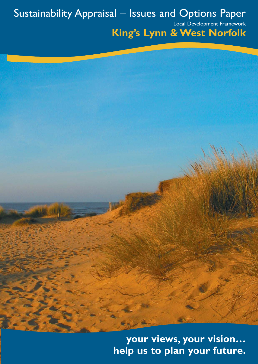# Sustainability Appraisal – Issues and Options Paper

Local Development Framework

# **King's Lynn & West Norfolk**

**your views, your vision… help us to plan your future.**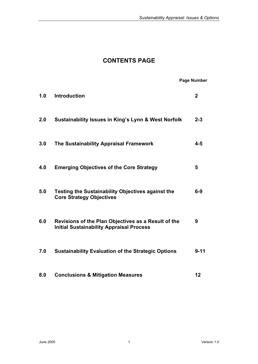# **CONTENTS PAGE**

# **Page Number**

| 1.0 | <b>Introduction</b>                                                                                    | $\overline{2}$ |
|-----|--------------------------------------------------------------------------------------------------------|----------------|
| 2.0 | <b>Sustainability Issues in King's Lynn &amp; West Norfolk</b>                                         | $2 - 3$        |
| 3.0 | The Sustainability Appraisal Framework                                                                 | $4 - 5$        |
| 4.0 | <b>Emerging Objectives of the Core Strategy</b>                                                        | 5              |
| 5.0 | <b>Testing the Sustainability Objectives against the</b><br><b>Core Strategy Objectives</b>            | $6-9$          |
| 6.0 | Revisions of the Plan Objectives as a Result of the<br><b>Initial Sustainability Appraisal Process</b> | 9              |
| 7.0 | <b>Sustainability Evaluation of the Strategic Options</b>                                              | $9 - 11$       |
| 8.0 | <b>Conclusions &amp; Mitigation Measures</b>                                                           | 12             |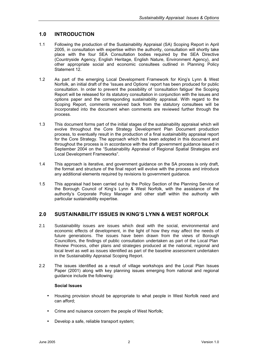# **1.0 INTRODUCTION**

- 1.1 Following the production of the Sustainability Appraisal (SA) Scoping Report in April 2005, in consultation with expertise within the authority, consultation will shortly take place with the four SEA Consultation bodies required by the SEA Directive (Countryside Agency, English Heritage, English Nature, Environment Agency), and other appropriate social and economic consultees outlined in Planning Policy Statement 12.
- 1.2 As part of the emerging Local Development Framework for King's Lynn & West Norfolk, an initial draft of the 'Issues and Options' report has been produced for public consultation. In order to prevent the possibility of 'consultation fatigue' the Scoping Report will be released for its statutory consultation in conjunction with the issues and options paper and the corresponding sustainability appraisal. With regard to the Scoping Report, comments received back from the statutory consultees will be incorporated into the document when comments are reviewed further through the process.
- 1.3 This document forms part of the initial stages of the sustainability appraisal which will evolve throughout the Core Strategy Development Plan Document production process, to eventually result in the production of a final sustainability appraisal report for the Core Strategy. The approach which has been adopted in this document and throughout the process is in accordance with the draft government guidance issued in September 2004 on the "Sustainability Appraisal of Regional Spatial Strategies and Local Development Frameworks".
- 1.4 This approach is iterative, and government guidance on the SA process is only draft, the format and structure of the final report will evolve with the process and introduce any additional elements required by revisions to government guidance.
- 1.5 This appraisal had been carried out by the Policy Section of the Planning Service of the Borough Council of King's Lynn & West Norfolk, with the assistance of the authority's Corporate Policy Manager and other staff within the authority with particular sustainability expertise.

# **2.0 SUSTAINABILITY ISSUES IN KING'S LYNN & WEST NORFOLK**

- 2.1 Sustainability issues are issues which deal with the social, environmental and economic effects of development, in the light of how they may affect the needs of future generations. The issues have been drawn from the views of Borough Councillors, the findings of public consultation undertaken as part of the Local Plan Review Process, other plans and strategies produced at the national, regional and local level as well as issues identified as part of the baseline assessment undertaken in the Sustainability Appraisal Scoping Report.
- 2.2 The issues identified as a result of village workshops and the Local Plan Issues Paper (2001) along with key planning issues emerging from national and regional guidance include the following:

#### **Social Issues**

- Housing provision should be appropriate to what people in West Norfolk need and can afford;
- Crime and nuisance concern the people of West Norfolk;
- Develop a safe, reliable transport system;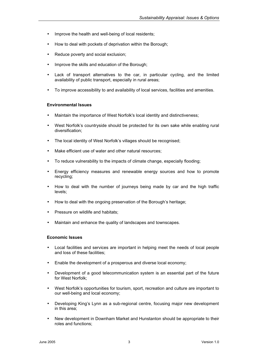- Improve the health and well-being of local residents;
- How to deal with pockets of deprivation within the Borough;
- Reduce poverty and social exclusion;
- Improve the skills and education of the Borough;
- Lack of transport alternatives to the car, in particular cycling, and the limited availability of public transport, especially in rural areas;
- To improve accessibility to and availability of local services, facilities and amenities.

#### **Environmental Issues**

- Maintain the importance of West Norfolk's local identity and distinctiveness;
- West Norfolk's countryside should be protected for its own sake while enabling rural diversification;
- The local identity of West Norfolk's villages should be recognised;
- Make efficient use of water and other natural resources;
- To reduce vulnerability to the impacts of climate change, especially flooding;
- Energy efficiency measures and renewable energy sources and how to promote recycling;
- How to deal with the number of journeys being made by car and the high traffic levels;
- How to deal with the ongoing preservation of the Borough's heritage;
- Pressure on wildlife and habitats;
- Maintain and enhance the quality of landscapes and townscapes.

#### **Economic Issues**

- Local facilities and services are important in helping meet the needs of local people and loss of these facilities;
- Enable the development of a prosperous and diverse local economy;
- Development of a good telecommunication system is an essential part of the future for West Norfolk;
- West Norfolk's opportunities for tourism, sport, recreation and culture are important to our well-being and local economy;
- Developing King's Lynn as a sub-regional centre, focusing major new development in this area;
- New development in Downham Market and Hunstanton should be appropriate to their roles and functions;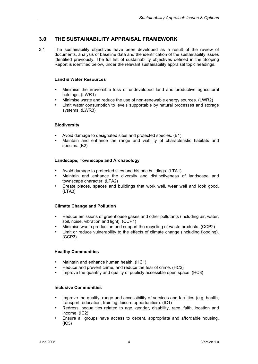## **3.0 THE SUSTAINABILITY APPRAISAL FRAMEWORK**

3.1 The sustainability objectives have been developed as a result of the review of documents, analysis of baseline data and the identification of the sustainability issues identified previously. The full list of sustainability objectives defined in the Scoping Report is identified below, under the relevant sustainability appraisal topic headings.

#### **Land & Water Resources**

- Minimise the irreversible loss of undeveloped land and productive agricultural holdings. (LWR1)
- Minimise waste and reduce the use of non-renewable energy sources. (LWR2)
- Limit water consumption to levels supportable by natural processes and storage systems. (LWR3)

#### **Biodiversity**

- Avoid damage to designated sites and protected species. (B1)
- Maintain and enhance the range and viability of characteristic habitats and species. (B2)

#### **Landscape, Townscape and Archaeology**

- Avoid damage to protected sites and historic buildings. (LTA1)
- Maintain and enhance the diversity and distinctiveness of landscape and townscape character. (LTA2)
- Create places, spaces and buildings that work well, wear well and look good. (LTA3)

#### **Climate Change and Pollution**

- Reduce emissions of greenhouse gases and other pollutants (including air, water, soil, noise, vibration and light). (CCP1)
- Minimise waste production and support the recycling of waste products. (CCP2)
- Limit or reduce vulnerability to the effects of climate change (including flooding). (CCP3)

#### **Healthy Communities**

- Maintain and enhance human health. (HC1)
- Reduce and prevent crime, and reduce the fear of crime. (HC2)
- Improve the quantity and quality of publicly accessible open space. (HC3)

#### **Inclusive Communities**

- Improve the quality, range and accessibility of services and facilities (e.g. health, transport, education, training, leisure opportunities). (IC1)
- Redress inequalities related to age, gender, disability, race, faith, location and income. (IC2)
- Ensure all groups have access to decent, appropriate and affordable housing. (IC3)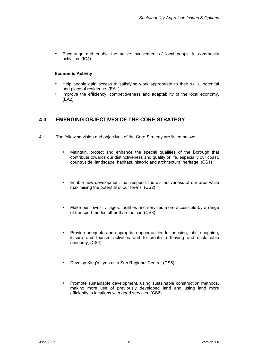• Encourage and enable the active involvement of local people in community activities. (IC4)

#### **Economic Activity**

- Help people gain access to satisfying work appropriate to their skills, potential and place of residence. (EA1)
- Improve the efficiency, competitiveness and adaptability of the local economy. (EA2)

# **4.0 EMERGING OBJECTIVES OF THE CORE STRATEGY**

- 4.1 The following vision and objectives of the Core Strategy are listed below:
	- Maintain, protect and enhance the special qualities of the Borough that contribute towards our distinctiveness and quality of life, especially our coast, countryside, landscape, habitats, historic and architectural heritage; (CS1)
	- Enable new development that respects the distinctiveness of our area while maximising the potential of our towns; (CS2)
	- Make our towns, villages, facilities and services more accessible by a range of transport modes other than the car; (CS3)
	- Provide adequate and appropriate opportunities for housing, jobs, shopping, leisure and tourism activities and to create a thriving and sustainable economy; (CS4)
	- Develop King's Lynn as a Sub Regional Centre; (CS5)
	- Promote sustainable development, using sustainable construction methods, making more use of previously developed land and using land more efficiently in locations with good services. (CS6)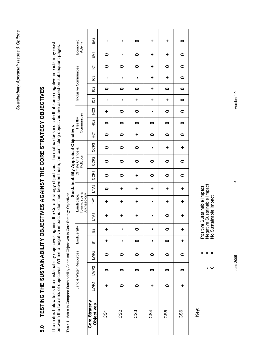# TESTING THE SUSTAINABILITY OBJECTIVES AGAINST THE CORE STRATEGY OBJECTIVES **5.0 TESTING THE SUSTAINABILITY OBJECTIVES AGAINST THE CORE STRATEGY OBJECTIVES** 5.0

The matrix below tests the sustainability objectives against the Core Strategy objectives. The matrix does indicate that some negative impacts may exist The matrix below tests the sustainability objectives against the Core Strategy objectives. The matrix does indicate that some negative impacts may exist between the two sets of objectives. Where a negative impact is identified between these, the conflicting objectives are assessed on subsequent pages. between the two sets of objectives. Where a negative impact is identified between these, the conflicting objectives are assessed on subsequent pages.

| Economic<br>Activity                                                      | EA2                                             | ı         | ı               | $\bullet$ | ÷         | ٠         | $\bullet$  |
|---------------------------------------------------------------------------|-------------------------------------------------|-----------|-----------------|-----------|-----------|-----------|------------|
|                                                                           | EA1                                             | 0         | ı               | $\bullet$ | ÷         | ٠         | $\bullet$  |
|                                                                           | $\overline{5}$                                  | $\bullet$ | 0               | $\bullet$ | ٠         | 0         | $\bullet$  |
|                                                                           | <u>ප</u>                                        | ı         | ı               | ı         | ÷         | ÷         | $\bullet$  |
|                                                                           | $\frac{2}{2}$                                   | 0         | 0               | 0         | ÷         | 0         | 0          |
|                                                                           | $\overline{c}$                                  | п         | I,              | ÷         | ÷         | ÷         | $\bullet$  |
| Communities<br>Healthy                                                    | C3                                              | ٠         | 0               | 0         | п         | 0         | $\bullet$  |
|                                                                           | HC <sub>2</sub>                                 | 0         | $\bullet$       | $\bullet$ | 0         | $\bullet$ | $\bullet$  |
|                                                                           | у<br>Э                                          | $\bullet$ | $\bullet$       | ÷         | 0         | $\bullet$ | $\bullet$  |
| Climate Change &<br>Pollution<br>Townscape &<br>Archaeology<br>Landscape, | CC <sub>P</sub> 3                               | 0         | 0               | 0         | I         | ÷         | ÷          |
|                                                                           | CCP <sub>2</sub>                                | 0         | 0               | 0         | 0         | 0         | $\bullet$  |
|                                                                           | CCP <sub>1</sub>                                | $\bullet$ | $\bullet$       | ٠         | $\bullet$ | $\bullet$ | $\bullet$  |
|                                                                           | LTA <sub>3</sub>                                | 0         | ÷               | ÷         | ÷         | ÷         | ÷          |
|                                                                           | LTA <sub>2</sub>                                | ÷         | ٠               | ٠         | ı         | ٠         | ÷          |
|                                                                           | LTA1                                            | ٠         | ٠               | ٠         | ı         | $\bullet$ | ÷          |
| Biodiversity                                                              | B <sub>2</sub>                                  | ٠         | ı               | $\bullet$ | I         | $\bullet$ | ٠          |
|                                                                           | ă                                               | ÷         | ı               | $\bullet$ | ı         | $\bullet$ | ÷          |
|                                                                           | LWR3                                            | 0         | 0               | 0         | 0         | 0         | 0          |
|                                                                           | LWR2                                            | 0         | 0               | $\bullet$ | 0         | 0         | 0          |
|                                                                           | LWR1                                            | ÷         | 0               | $\bullet$ | ÷         | 0         | ÷          |
|                                                                           | Core Strategy<br>Objectives                     | δ5        | C <sub>S2</sub> | CS3       | CS4       | CS5       | <b>CS6</b> |
| <b>Sustainability Appraisal Objectives</b>                                | Inclusive Communities<br>Land & Water Resources |           |                 |           |           |           |            |

Table 1: Matrix to Compare Sustainability Appraisal Objectives to Core Strategy Objectives **Table 1**: Matrix to Compare Sustainability Appraisal Objectives to Core Strategy Objectives

**Key:**

Positive Sustainable Impact<br>Negative Sustainable Impact<br>No Sustainable Impact - = Negative Sustainable Impact + = Positive Sustainable Impact

0 = No Sustainable Impact

 $\mathbf{H}=\mathbf{H}=\mathbf{H}$ 

 $\overline{0}$  $\ddot{}$ 

June 2005

Version 1.0 June 2005 6 Version 1.0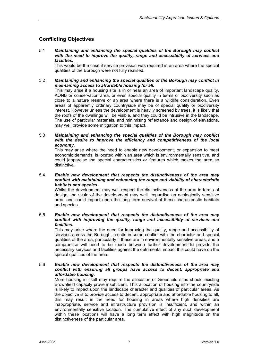# **Conflicting Objectives**

5.1 *Maintaining and enhancing the special qualities of the Borough may conflict with the need to improve the quality, range and accessibility of services and facilities.*

This would be the case if service provision was required in an area where the special qualities of the Borough were not fully realised.

#### 5.2 *Maintaining and enhancing the special qualities of the Borough may conflict in maintaining access to affordable housing for all.*

This may arise if a housing site is in or near an area of important landscape quality, AONB or conservation area, or even special quality in terms of biodiversity such as close to a nature reserve or an area where there is a wildlife consideration. Even areas of apparently ordinary countryside may be of special quality or biodiversity interest. However unless the development is heavily screened by trees, it is likely that the roofs of the dwellings will be visible, and they could be intrusive in the landscape. The use of particular materials, and minimising reflectance and design of elevations, may well provide some mitigation to this impact.

5.3 *Maintaining and enhancing the special qualities of the Borough may conflict with the desire to improve the efficiency and competitiveness of the local economy.*

This may arise where the need to enable new development, or expansion to meet economic demands, is located within an area which is environmentally sensitive, and could jeopardise the special characteristics or features which makes the area so distinctive.

#### 5.4 *Enable new development that respects the distinctiveness of the area may conflict with maintaining and enhancing the range and viability of characteristic habitats and species.*

Whilst the development may well respect the distinctiveness of the area in terms of design, the scale of the development may well jeopardise an ecologically sensitive area, and could impact upon the long term survival of these characteristic habitats and species.

#### 5.5 *Enable new development that respects the distinctiveness of the area may conflict with improving the quality, range and accessibility of services and facilities.*

This may arise where the need for improving the quality, range and accessibility of services across the Borough, results in some conflict with the character and special qualities of the area, particularly if these are in environmentally sensitive areas, and a compromise will need to be made between further development to provide the necessary services and facilities against the detrimental impact this could have on the special qualities of the area.

#### 5.6 *Enable new development that respects the distinctiveness of the area may conflict with ensuring all groups have access to decent, appropriate and affordable housing.*

More housing in itself may require the allocation of Greenfield sites should existing Brownfield capacity prove insufficient. This allocation of housing into the countryside is likely to impact upon the landscape character and qualities of particular areas. As the objective is to provide access to decent, appropriate and affordable housing to all, this may result in the need for housing in areas where high densities are inappropriate, service and infrastructure provision is insufficient, and within an environmentally sensitive location. The cumulative effect of any such development within these locations will have a long term effect with high magnitude on the distinctiveness of the particular area.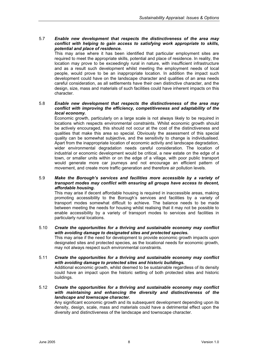#### 5.7 *Enable new development that respects the distinctiveness of the area may conflict with helping to gain access to satisfying work appropriate to skills, potential and place of residence.*

This may arise where it has been identified that particular employment sites are required to meet the appropriate skills, potential and place of residence. In reality, the location may prove to be exceedingly rural in nature, with insufficient infrastructure and as a result such development whilst meeting the employment needs of local people, would prove to be an inappropriate location. In addition the impact such development could have on the landscape character and qualities of an area needs careful consideration, as all settlements have their own distinctive character, and the design, size, mass and materials of such facilities could have inherent impacts on this character.

#### 5.8 *Enable new development that respects the distinctiveness of the area may conflict with improving the efficiency, competitiveness and adaptability of the local economy.*

Economic growth, particularly on a large scale is not always likely to be required in locations which respects environmental constraints. Whilst economic growth should be actively encouraged, this should not occur at the cost of the distinctiveness and qualities that make this area so special. Obviously the assessment of this special quality can be somewhat subjective, and the sensitivity to change is individualised. Apart from the inappropriate location of economic activity and landscape degradation, wider environmental degradation needs careful consideration. The location of industrial or economic development would be critical, a new estate on the edge of a town, or smaller units within or on the edge of a village, with poor public transport would generate more car journeys and not encourage an efficient pattern of movement, and create more traffic generation and therefore air pollution levels.

#### 5.9 *Make the Borough's services and facilities more accessible by a variety of transport modes may conflict with ensuring all groups have access to decent, affordable housing.*

This may arise if decent affordable housing is required in inaccessible areas, making promoting accessibility to the Borough's services and facilities by a variety of transport modes somewhat difficult to achieve. The balance needs to be made between meeting the needs for housing whilst realising that it may not be possible to enable accessibility by a variety of transport modes to services and facilities in particularly rural locations.

#### 5.10 *Create the opportunities for a thriving and sustainable economy may conflict with avoiding damage to designated sites and protected species.*

This may arise if the need for development to provide economic growth impacts upon designated sites and protected species, as the locational needs for economic growth, may not always respect such environmental constraints.

#### 5.11 *Create the opportunities for a thriving and sustainable economy may conflict with avoiding damage to protected sites and historic buildings.* Additional economic growth, whilst deemed to be sustainable regardless of its density

could have an impact upon the historic setting of both protected sites and historic buildings.

#### 5.12 *Create the opportunities for a thriving and sustainable economy may conflict with maintaining and enhancing the diversity and distinctiveness of the landscape and townscape character.*

Any significant economic growth and its subsequent development depending upon its density, design, scale, mass and materials could have a detrimental effect upon the diversity and distinctiveness of the landscape and townscape character.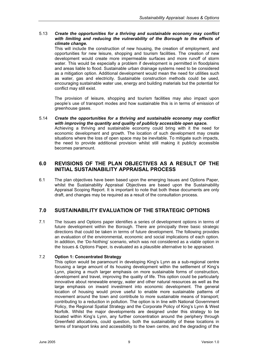#### 5.13 *Create the opportunities for a thriving and sustainable economy may conflict with limiting and reducing the vulnerability of the Borough to the effects of climate change.*

This will include the construction of new housing, the creation of employment, and opportunities for new leisure, shopping and tourism facilities. The creation of new development would create more impermeable surfaces and more runoff of storm water. This would be especially a problem if development is permitted in floodplains and areas liable to flood. Sustainable urban drainage systems need to be considered as a mitigation option. Additional development would mean the need for utilities such as water, gas and electricity. Sustainable construction methods could be used, encouraging sustainable water use, energy and building materials but the potential for conflict may still exist.

The provision of leisure, shopping and tourism facilities may also impact upon people's use of transport modes and how sustainable this is in terms of emission of greenhouse gases.

5.14 *Create the opportunities for a thriving and sustainable economy may conflict with improving the quantity and quality of publicly accessible open space.* Achieving a thriving and sustainable economy could bring with it the need for economic development and growth. The location of such development may create situations where the loss of open space may be inevitable. To mitigate such impacts, the need to provide additional provision whilst still making it publicly accessible becomes paramount.

# **6.0 REVISIONS OF THE PLAN OBJECTIVES AS A RESULT OF THE INITIAL SUSTAINABILITY APPRAISAL PROCESS**

6.1 The plan objectives have been based upon the emerging Issues and Options Paper, whilst the Sustainability Appraisal Objectives are based upon the Sustainability Appraisal Scoping Report. It is important to note that both these documents are only draft, and changes may be required as a result of the consultation process.

# **7.0 SUSTAINABILITY EVALUATION OF THE STRATEGIC OPTIONS**

7.1 The Issues and Options paper identifies a series of development options in terms of future development within the Borough. There are principally three basic strategic directions that could be taken in terms of future development. The following provides an evaluation of the environmental, economic and social implications of each option. In addition, the 'Do-Nothing' scenario, which was not considered as a viable option in the Issues & Options Paper, is evaluated as a plausible alternative to be appraised.

#### 7.2 **Option 1: Concentrated Strategy**

This option would be paramount in developing King's Lynn as a sub-regional centre focusing a large amount of its housing development within the settlement of King's Lynn, placing a much larger emphasis on more sustainable forms of construction, development and travel, improving the quality of life. This option could be particularly innovative about renewable energy, water and other natural resources as well as the large emphasis on inward investment into economic development. The general location of housing would prove useful to enable more sustainable patterns of movement around the town and contribute to more sustainable means of transport; contributing to a reduction in pollution. The option is in line with National Government Policy, the Regional Spatial Strategy and the Corporate Policy of King's Lynn & West Norfolk. Whilst the major developments are designed under this strategy to be located within King's Lynn, any further concentration around the periphery through Greenfield allocations, could question, both the sustainability of these locations in terms of transport links and accessibility to the town centre, and the degrading of the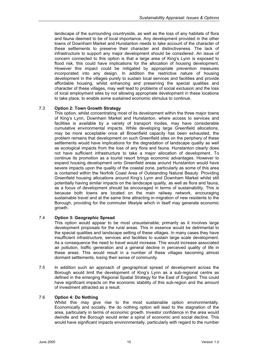landscape of the surrounding countryside, as well as the loss of any habitats of flora and fauna deemed to be of local importance. Any development provided in the other towns of Downham Market and Hunstanton needs to take account of the character of these settlements to preserve their character and distinctiveness. The lack of infrastructure to support any major development should be considered. An issue of concern connected to this option is that a large area of King's Lynn is exposed to flood risk, this could have implications for the allocation of housing development. However this impact could be mitigated by appropriate prevention measures incorporated into any design. In addition the restrictive nature of housing development in the villages purely to sustain local services and facilities and provide affordable housing, whilst enhancing and preserving the special qualities and character of these villages, may well lead to problems of social exclusion and the loss of local employment sites by not allowing appropriate development in these locations to take place, to enable some sustained economic stimulus to continue.

#### 7.3 **Option 2: Town Growth Strategy**

This option, whilst concentrating most of its development within the three major towns of King's Lynn, Downham Market and Hunstanton, where access to services and facilities is available by a variety of transport modes, may have considerable cumulative environmental impacts. While developing large Greenfield allocations, may be more acceptable once all Brownfield capacity has been exhausted, the problem remains that development on such Greenfield sites on the periphery of these settlements would have implications for the degradation of landscape quality as well as ecological impacts from the loss of any flora and fauna. Hunstanton clearly does not have sufficient infrastructure to take a major allocation of development. To continue its promotion as a tourist resort brings economic advantages. However to expand housing development onto Greenfield areas around Hunstanton would have severe impacts upon the quality of the coastal zone, particularly as some of this area is contained within the Norfolk Coast Area of Outstanding Natural Beauty. Providing Greenfield housing allocations around King's Lynn and Downham Market whilst still potentially having similar impacts on the landscape quality, as well as flora and fauna, as a focus of development should be encouraged in terms of sustainability. This is because both towns are located on the main railway network, encouraging sustainable travel and at the same time attracting in-migration of new residents to the Borough, providing for the commuter lifestyle which in itself may generate economic growth.

#### 7.4 **Option 3: Geographic Spread**

This option would appear to be most unsustainable; primarily as it involves large development proposals for the rural areas. This in essence would be detrimental to the special qualities and landscape setting of these villages. In many cases they have insufficient infrastructure, services and facilities to sustain large scale development. As a consequence the need to travel would increase. This would increase associated air pollution, traffic generation and a general decline in perceived quality of life in these areas. This would result in a number of these villages becoming almost dormant settlements, losing their sense of community.

7.5 In addition such an approach of geographical spread of development across the Borough would limit the development of King's Lynn as a sub-regional centre as defined in the emerging Regional Spatial Strategy for the East of England. This could have significant impacts on the economic stability of this sub-region and the amount of investment attracted as a result.

#### 7.6 **Option 4: Do Nothing**

Whilst this may give rise to the most sustainable option environmentally. Economically and socially, the do nothing option will lead to the stagnation of the area, particularly in terms of economic growth. Investor confidence in the area would dwindle and the Borough would enter a spiral of economic and social decline. This would have significant impacts environmentally, particularly with regard to the number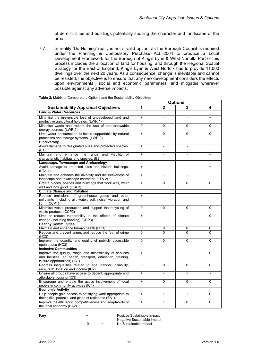of derelict sites and buildings potentially spoiling the character and landscape of the area.

7.7 In reality 'Do Nothing' really is not a valid option, as the Borough Council is required under the Planning & Compulsory Purchase Act 2004 to produce a Local Development Framework for the Borough of King's Lynn & West Norfolk. Part of this process includes the allocation of land for housing, and through the Regional Spatial Strategy for the East of England, King's Lynn & West Norfolk has to provide 11,000 dwellings over the next 20 years. As a consequence, change is inevitable and cannot be resisted, the objective is to ensure that any new development considers the effects upon environmental, social and economic parameters, and mitigates wherever possible against any adverse impacts.

|                                                                                                                                                        | <b>Options</b>                   |                |                |           |
|--------------------------------------------------------------------------------------------------------------------------------------------------------|----------------------------------|----------------|----------------|-----------|
| <b>Sustainability Appraisal Objectives</b>                                                                                                             | 1                                | $\overline{2}$ | 3              | 4         |
| <b>Land &amp; Water Resources</b>                                                                                                                      |                                  |                |                |           |
| Minimise the irreversible loss of undeveloped land and<br>productive agricultural holdings. (LWR 1)                                                    | $\begin{array}{c} + \end{array}$ |                |                | $\ddot{}$ |
| Minimise waste and reduce the use of non-renewable<br>energy sources. (LWR 2)                                                                          | $\mathbf 0$                      | 0              | 0              | 0         |
| Limit water consumption to levels supportable by natural<br>processes and storage systems. (LWR 3)                                                     | $\ddot{}$                        | $\overline{0}$ | 0              | 0         |
| <b>Biodiversity</b>                                                                                                                                    |                                  |                |                |           |
| Avoid damage to designated sites and protected species.<br>(B1)                                                                                        | $\ddot{}$                        |                |                | $\ddot{}$ |
| Maintain and enhance the range and viability of<br>characteristic habitats and species. (B2)                                                           | $\ddot{}$                        |                |                | $\ddot{}$ |
| Landscape, Townscape and Archaeology                                                                                                                   |                                  |                |                |           |
| Avoid damage to protected sites and historic buildings.<br>(LTA 1)                                                                                     | $\ddot{}$                        | L,             | $\overline{a}$ | $\ddot{}$ |
| Maintain and enhance the diversity and distinctiveness of<br>landscape and townscape character. (LTA 2)                                                | $\ddot{}$                        |                |                | $+$       |
| Create places, spaces and buildings that work well, wear<br>well and look good. (LTA 3)                                                                | $\ddot{}$                        | $\Omega$       | 0              | $\Omega$  |
| <b>Climate Change and Pollution</b>                                                                                                                    |                                  |                |                |           |
| Reduce emissions of greenhouse gases and other<br>pollutants (including air, water, soil, noise, vibration and<br>light) (CCP1)                        | $\ddot{}$                        | $\overline{a}$ |                |           |
| Minimise waste production and support the recycling of<br>waste products (CCP2)                                                                        | $\Omega$                         | 0              | 0              | 0         |
| Limit or reduce vulnerability to the effects of climate<br>change (including flooding) (CCP3)                                                          | $\begin{array}{c} + \end{array}$ |                |                | 0         |
| <b>Healthy Communities</b>                                                                                                                             |                                  |                |                |           |
| Maintain and enhance human health (HC1)                                                                                                                | $\Omega$                         | 0              | 0              | $\Omega$  |
| Reduce and prevent crime, and reduce the fear of crime<br>(HC2)                                                                                        | $\Omega$                         | $\Omega$       | $\overline{0}$ | $\Omega$  |
| Improve the quantity and quality of publicly accessible<br>open space (HC3)                                                                            | $\mathbf{0}$                     | 0              | 0              | 0         |
| <b>Inclusive Communities</b>                                                                                                                           |                                  |                |                |           |
| Improve the quality, range and accessibility of services<br>and facilities (eg health, transport, education, training,<br>leisure opportunities) (IC1) | $\ddot{}$                        |                |                | 0         |
| Redress inequalities related to age, gender, disability,<br>race, faith, location and income (IC2)                                                     | $\mathbf 0$                      | $\Omega$       | $\Omega$       | $\Omega$  |
| Ensure all groups have access to decent, appropriate and<br>affordable housing (IC3)                                                                   | $\ddot{}$                        | $\ddot{}$      | $\ddot{}$      |           |
| Encourage and enable the active involvement of local<br>people in community activities (IC4)                                                           | $\ddot{}$                        | 0              | 0              | 0         |
| <b>Economic Activity</b>                                                                                                                               |                                  |                |                |           |
| Help people gain access to satisfying work appropriate to<br>their skills, potential and place of residence (EA1)                                      | $\ddot{}$                        | $\ddot{}$      | $\ddot{}$      | 0         |
| Improve the efficiency, competitiveness and adaptability of<br>the local economy (EA2)                                                                 | $\ddot{}$                        | $\ddot{}$      | 0              | 0         |

**Table 2:** Matrix to Compare the Options and the Sustainability Objectives

**Key:**  $+$  = Positive Sustainable Impact<br>  $-$  = Negative Sustainable Impact

-  $=$  Negative Sustainable Impact<br>  $0 =$  No Sustainable Impact No Sustainable Impact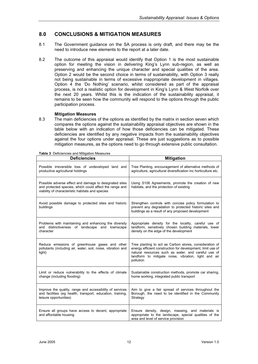# **8.0 CONCLUSIONS & MITIGATION MEASURES**

- 8.1 The Government guidance on the SA process is only draft, and there may be the need to introduce new elements to the report at a later date.
- 8.2 The outcome of this appraisal would identify that Option 1 is the most sustainable option for meeting the vision in delivering King's Lynn sub-region, as well as preserving and enhancing the unique character and special qualities of the area. Option 2 would be the second choice in terms of sustainability, with Option 3 really not being sustainable in terms of excessive inappropriate development in villages. Option 4 the 'Do Nothing' scenario, whilst considered as part of the appraisal process, is not a realistic option for development in King's Lynn & West Norfolk over the next 20 years. Whilst this is the indication of the sustainability appraisal, it remains to be seen how the community will respond to the options through the public participation process.

#### **Mitigation Measures**

8.3 The main deficiencies of the options as identified by the matrix in section seven which compares the options against the sustainability appraisal objectives are shown in the table below with an indication of how those deficiencies can be mitigated. These deficiencies are identified by any negative impacts from the sustainability objectives against the four options under appraisal. These are just suggestions as to possible mitigation measures, as the options need to go through extensive public consultation.

| <b>Deficiencies</b>                                                                                                                                                   | <b>Mitigation</b>                                                                                                                                                                                                                                  |
|-----------------------------------------------------------------------------------------------------------------------------------------------------------------------|----------------------------------------------------------------------------------------------------------------------------------------------------------------------------------------------------------------------------------------------------|
| Possible irreversible loss of undeveloped land and<br>productive agricultural holdings                                                                                | Tree Planting, encouragement of alternative methods of<br>agriculture, agricultural diversification inc horticulture etc.                                                                                                                          |
| Possible adverse effect and damage to designated sites<br>and protected species, which could affect the range and<br>viability of characteristic habitats and species | Using S106 Agreements, promote the creation of new<br>habitats, and the protection of existing                                                                                                                                                     |
| Avoid possible damage to protected sites and historic<br>buildings                                                                                                    | Strengthen controls with concise policy formulation to<br>prevent any degradation to protected historic sites and<br>buildings as a result of any proposed development                                                                             |
| Problems with maintaining and enhancing the diversity<br>and distinctiveness of landscape and townscape<br>character                                                  | Appropriate density for the locality, careful use of<br>landform, sensitively chosen building materials, lower<br>density on the edge of the development                                                                                           |
| Reduce emissions of greenhouse gases and other<br>pollutants (including air, water, soil, noise, vibration and<br>light)                                              | Tree planting to act as Carbon stores, consideration of<br>energy efficient construction for development, limit use of<br>natural resources such as water, and careful use of<br>landform to mitigate noise, vibration, light and air<br>pollution |
| Limit or reduce vulnerability to the effects of climate<br>change (including flooding)                                                                                | Sustainable construction methods, promote car sharing,<br>home working, integrated public transport                                                                                                                                                |
| Improve the quality, range and accessibility of services<br>and facilities (eg health, transport, education, training,<br>leisure opportunities)                      | Aim to give a fair spread of services throughout the<br>Borough, the need to be identified in the Community<br>Strategy                                                                                                                            |
| Ensure all groups have access to decent, appropriate<br>and affordable housing                                                                                        | Ensure density, design, massing, and materials is<br>appropriate to the landscape, special qualities of the<br>area and level of service provision                                                                                                 |

#### **Table 3**: Deficiencies and Mitigation Measures